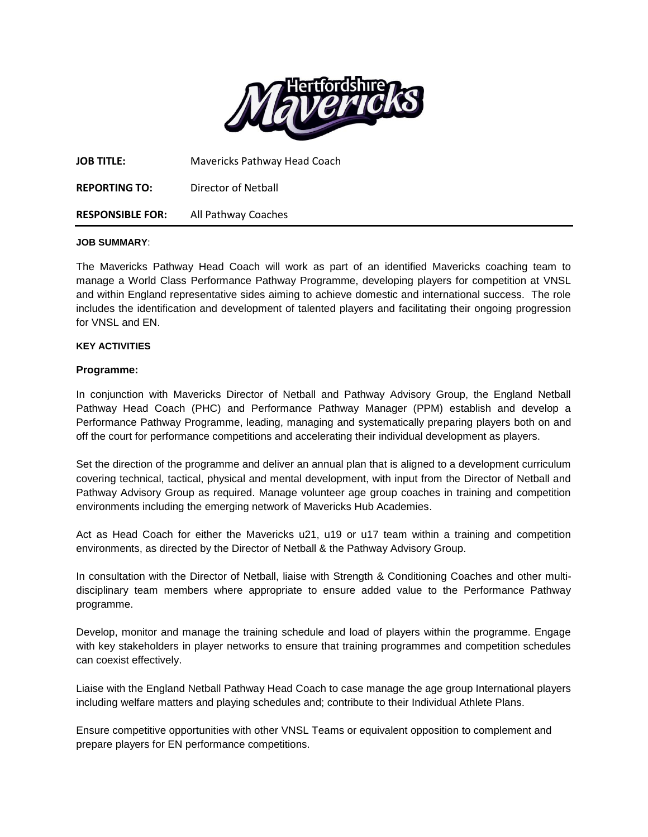

| <b>JOB TITLE:</b>       | Mavericks Pathway Head Coach |
|-------------------------|------------------------------|
| <b>REPORTING TO:</b>    | Director of Netball          |
| <b>RESPONSIBLE FOR:</b> | All Pathway Coaches          |

#### **JOB SUMMARY**:

The Mavericks Pathway Head Coach will work as part of an identified Mavericks coaching team to manage a World Class Performance Pathway Programme, developing players for competition at VNSL and within England representative sides aiming to achieve domestic and international success. The role includes the identification and development of talented players and facilitating their ongoing progression for VNSL and EN.

#### **KEY ACTIVITIES**

## **Programme:**

In conjunction with Mavericks Director of Netball and Pathway Advisory Group, the England Netball Pathway Head Coach (PHC) and Performance Pathway Manager (PPM) establish and develop a Performance Pathway Programme, leading, managing and systematically preparing players both on and off the court for performance competitions and accelerating their individual development as players.

Set the direction of the programme and deliver an annual plan that is aligned to a development curriculum covering technical, tactical, physical and mental development, with input from the Director of Netball and Pathway Advisory Group as required. Manage volunteer age group coaches in training and competition environments including the emerging network of Mavericks Hub Academies.

Act as Head Coach for either the Mavericks u21, u19 or u17 team within a training and competition environments, as directed by the Director of Netball & the Pathway Advisory Group.

In consultation with the Director of Netball, liaise with Strength & Conditioning Coaches and other multidisciplinary team members where appropriate to ensure added value to the Performance Pathway programme.

Develop, monitor and manage the training schedule and load of players within the programme. Engage with key stakeholders in player networks to ensure that training programmes and competition schedules can coexist effectively.

Liaise with the England Netball Pathway Head Coach to case manage the age group International players including welfare matters and playing schedules and; contribute to their Individual Athlete Plans.

Ensure competitive opportunities with other VNSL Teams or equivalent opposition to complement and prepare players for EN performance competitions.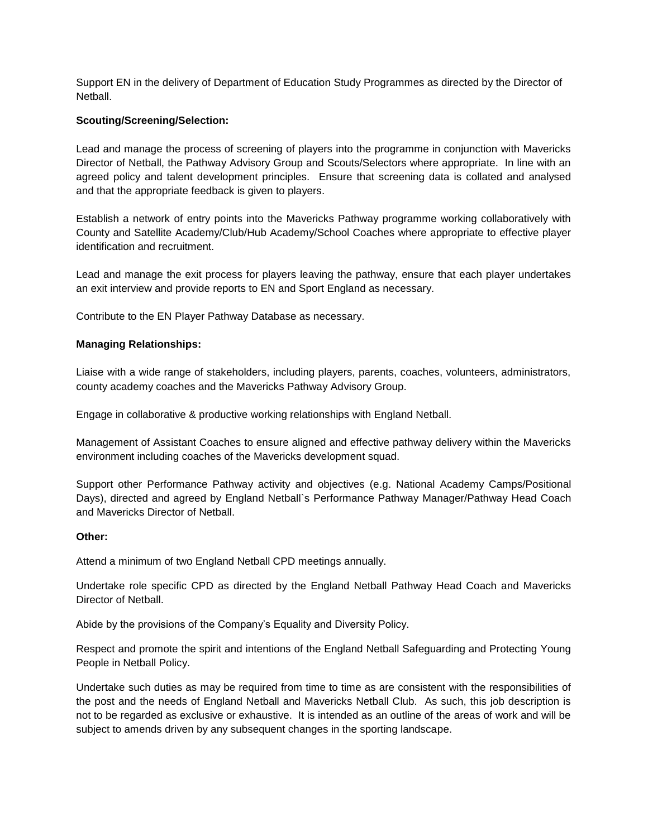Support EN in the delivery of Department of Education Study Programmes as directed by the Director of Netball.

## **Scouting/Screening/Selection:**

Lead and manage the process of screening of players into the programme in conjunction with Mavericks Director of Netball, the Pathway Advisory Group and Scouts/Selectors where appropriate. In line with an agreed policy and talent development principles. Ensure that screening data is collated and analysed and that the appropriate feedback is given to players.

Establish a network of entry points into the Mavericks Pathway programme working collaboratively with County and Satellite Academy/Club/Hub Academy/School Coaches where appropriate to effective player identification and recruitment.

Lead and manage the exit process for players leaving the pathway, ensure that each player undertakes an exit interview and provide reports to EN and Sport England as necessary.

Contribute to the EN Player Pathway Database as necessary.

## **Managing Relationships:**

Liaise with a wide range of stakeholders, including players, parents, coaches, volunteers, administrators, county academy coaches and the Mavericks Pathway Advisory Group.

Engage in collaborative & productive working relationships with England Netball.

Management of Assistant Coaches to ensure aligned and effective pathway delivery within the Mavericks environment including coaches of the Mavericks development squad.

Support other Performance Pathway activity and objectives (e.g. National Academy Camps/Positional Days), directed and agreed by England Netball`s Performance Pathway Manager/Pathway Head Coach and Mavericks Director of Netball.

#### **Other:**

Attend a minimum of two England Netball CPD meetings annually.

Undertake role specific CPD as directed by the England Netball Pathway Head Coach and Mavericks Director of Netball.

Abide by the provisions of the Company's Equality and Diversity Policy.

Respect and promote the spirit and intentions of the England Netball Safeguarding and Protecting Young People in Netball Policy.

Undertake such duties as may be required from time to time as are consistent with the responsibilities of the post and the needs of England Netball and Mavericks Netball Club. As such, this job description is not to be regarded as exclusive or exhaustive. It is intended as an outline of the areas of work and will be subject to amends driven by any subsequent changes in the sporting landscape.